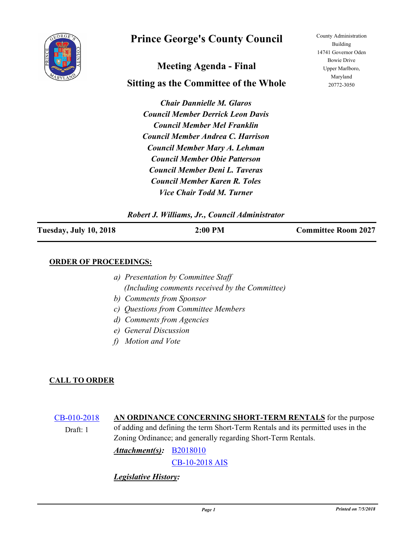

# **Prince George's County Council**

# **Meeting Agenda - Final**

# **Sitting as the Committee of the Whole**

*Chair Dannielle M. Glaros Council Member Derrick Leon Davis Council Member Mel Franklin Council Member Andrea C. Harrison Council Member Mary A. Lehman Council Member Obie Patterson Council Member Deni L. Taveras Council Member Karen R. Toles Vice Chair Todd M. Turner*

County Administration Building 14741 Governor Oden Bowie Drive Upper Marlboro, Maryland 20772-3050

#### *Robert J. Williams, Jr., Council Administrator*

| <b>Tuesday, July 10, 2018</b> | $2:00$ PM | <b>Committee Room 2027</b> |
|-------------------------------|-----------|----------------------------|
|                               |           |                            |

#### **ORDER OF PROCEEDINGS:**

- *a) Presentation by Committee Staff (Including comments received by the Committee)*
- *b) Comments from Sponsor*
- *c) Questions from Committee Members*
- *d) Comments from Agencies*
- *e) General Discussion*
- *f) Motion and Vote*

#### **CALL TO ORDER**

[CB-010-2018](http://princegeorgescountymd.legistar.com/gateway.aspx?m=l&id=/matter.aspx?key=10054) **AN ORDINANCE CONCERNING SHORT-TERM RENTALS** for the purpose of adding and defining the term Short-Term Rentals and its permitted uses in the Zoning Ordinance; and generally regarding Short-Term Rentals. Draft: 1

*Attachment(s):* **[B2018010](http://princegeorgescountymd.legistar.com/gateway.aspx?M=F&ID=34508933-44f1-47c7-af65-7f779e15f832.docx)** 

[CB-10-2018 AIS](http://princegeorgescountymd.legistar.com/gateway.aspx?M=F&ID=85b80ce1-e840-466d-9230-891eabc106e2.pdf)

*Legislative History:*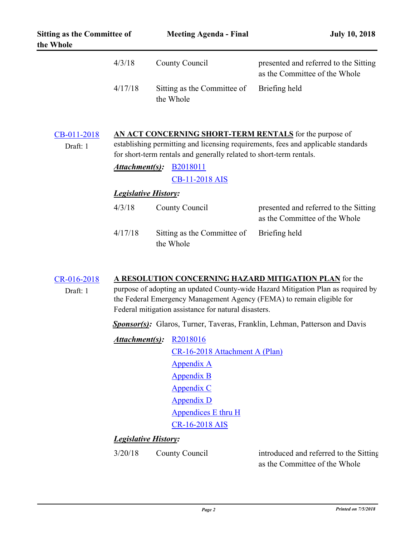| <b>Sitting as the Committee of</b><br>the Whole | <b>Meeting Agenda - Final</b>            | <b>July 10, 2018</b>                                                   |
|-------------------------------------------------|------------------------------------------|------------------------------------------------------------------------|
| 4/3/18                                          | County Council                           | presented and referred to the Sitting<br>as the Committee of the Whole |
| 4/17/18                                         | Sitting as the Committee of<br>the Whole | Briefing held                                                          |

| CB-011-2018<br>Draft: 1 | AN ACT CONCERNING SHORT-TERM RENTALS for the purpose of<br>establishing permitting and licensing requirements, fees and applicable standards<br>for short-term rentals and generally related to short-term rentals. |                                          |                                                                        |  |
|-------------------------|---------------------------------------------------------------------------------------------------------------------------------------------------------------------------------------------------------------------|------------------------------------------|------------------------------------------------------------------------|--|
|                         | Attachment(s):                                                                                                                                                                                                      | <b>B2018011</b><br><b>CB-11-2018 AIS</b> |                                                                        |  |
|                         | <b>Legislative History:</b>                                                                                                                                                                                         |                                          |                                                                        |  |
|                         | 4/3/18                                                                                                                                                                                                              | County Council                           | presented and referred to the Sitting<br>as the Committee of the Whole |  |
|                         | 4/17/18                                                                                                                                                                                                             | Sitting as the Committee of<br>the Whole | Briefing held                                                          |  |

# [CR-016-2018](http://princegeorgescountymd.legistar.com/gateway.aspx?m=l&id=/matter.aspx?key=10017) **A RESOLUTION CONCERNING HAZARD MITIGATION PLAN** for the

purpose of adopting an updated County-wide Hazard Mitigation Plan as required by the Federal Emergency Management Agency (FEMA) to remain eligible for Federal mitigation assistance for natural disasters.

Sponsor(s): Glaros, Turner, Taveras, Franklin, Lehman, Patterson and Davis

*Attachment(s):* [R2018016](http://princegeorgescountymd.legistar.com/gateway.aspx?M=F&ID=b9112ef3-b15a-47f2-add0-4e8c34102db6.docx) [CR-16-2018 Attachment A \(Plan\)](http://princegeorgescountymd.legistar.com/gateway.aspx?M=F&ID=d4f4d44d-2ff8-4efd-9360-8568e805642e.pdf) [Appendix A](http://princegeorgescountymd.legistar.com/gateway.aspx?M=F&ID=902d0911-49bd-4fcf-9acb-a348179b93a3.pdf) [Appendix B](http://princegeorgescountymd.legistar.com/gateway.aspx?M=F&ID=dbf4054b-c034-42c7-9a51-9f5cfb331362.pdf) [Appendix C](http://princegeorgescountymd.legistar.com/gateway.aspx?M=F&ID=0576476b-841d-43dc-a6a8-e5332649f332.pdf) [Appendix D](http://princegeorgescountymd.legistar.com/gateway.aspx?M=F&ID=392e8171-48b5-4f2a-94dd-8b8748f6b2fa.pdf) [Appendices E thru H](http://princegeorgescountymd.legistar.com/gateway.aspx?M=F&ID=62a158bc-4708-4043-9fd0-ae3542979fb2.pdf) [CR-16-2018 AIS](http://princegeorgescountymd.legistar.com/gateway.aspx?M=F&ID=8edc0af5-f1a6-48e6-b900-f78a4f03972a.pdf)

### *Legislative History:*

Draft: 1

3/20/18 County Council

introduced and referred to the Sitting as the Committee of the Whole